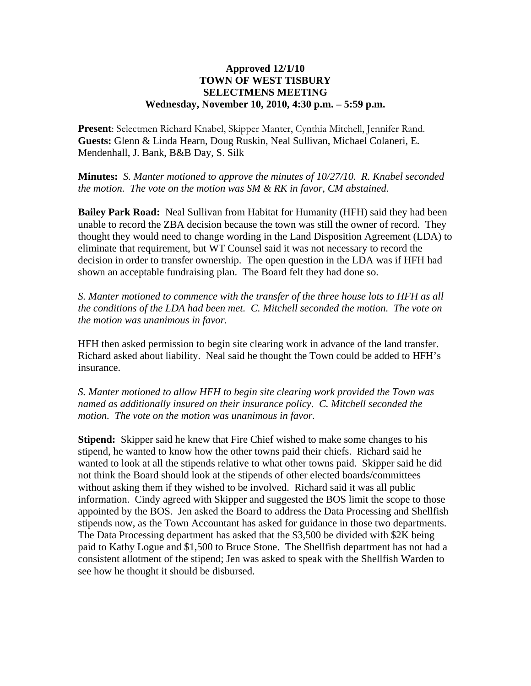## **Approved 12/1/10 TOWN OF WEST TISBURY SELECTMENS MEETING Wednesday, November 10, 2010, 4:30 p.m. – 5:59 p.m.**

**Present**: Selectmen Richard Knabel, Skipper Manter, Cynthia Mitchell, Jennifer Rand. **Guests:** Glenn & Linda Hearn, Doug Ruskin, Neal Sullivan, Michael Colaneri, E. Mendenhall, J. Bank, B&B Day, S. Silk

**Minutes:** *S. Manter motioned to approve the minutes of 10/27/10. R. Knabel seconded the motion. The vote on the motion was SM & RK in favor, CM abstained.*

**Bailey Park Road:** Neal Sullivan from Habitat for Humanity (HFH) said they had been unable to record the ZBA decision because the town was still the owner of record. They thought they would need to change wording in the Land Disposition Agreement (LDA) to eliminate that requirement, but WT Counsel said it was not necessary to record the decision in order to transfer ownership. The open question in the LDA was if HFH had shown an acceptable fundraising plan. The Board felt they had done so.

*S. Manter motioned to commence with the transfer of the three house lots to HFH as all the conditions of the LDA had been met. C. Mitchell seconded the motion. The vote on the motion was unanimous in favor.* 

HFH then asked permission to begin site clearing work in advance of the land transfer. Richard asked about liability. Neal said he thought the Town could be added to HFH's insurance.

*S. Manter motioned to allow HFH to begin site clearing work provided the Town was named as additionally insured on their insurance policy. C. Mitchell seconded the motion. The vote on the motion was unanimous in favor.* 

**Stipend:** Skipper said he knew that Fire Chief wished to make some changes to his stipend, he wanted to know how the other towns paid their chiefs. Richard said he wanted to look at all the stipends relative to what other towns paid. Skipper said he did not think the Board should look at the stipends of other elected boards/committees without asking them if they wished to be involved. Richard said it was all public information. Cindy agreed with Skipper and suggested the BOS limit the scope to those appointed by the BOS. Jen asked the Board to address the Data Processing and Shellfish stipends now, as the Town Accountant has asked for guidance in those two departments. The Data Processing department has asked that the \$3,500 be divided with \$2K being paid to Kathy Logue and \$1,500 to Bruce Stone. The Shellfish department has not had a consistent allotment of the stipend; Jen was asked to speak with the Shellfish Warden to see how he thought it should be disbursed.